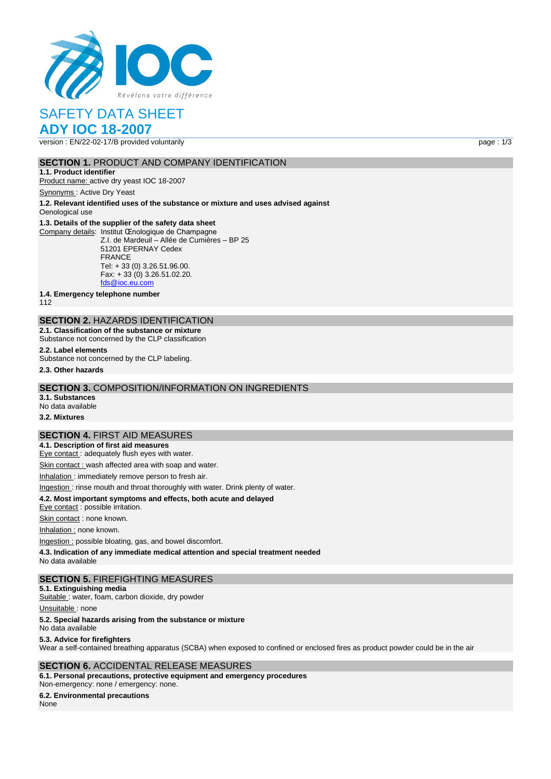

# SAFETY DATA SHEET

## **ADY IOC 18-2007**

version : EN/22-02-17/B provided voluntarily page : 1/3

### **SECTION 1. PRODUCT AND COMPANY IDENTIFICATION**

**1.1. Product identifier** Product name: active dry yeast IOC 18-2007

Synonyms : Active Dry Yeast

**1.2. Relevant identified uses of the substance or mixture and uses advised against** Oenological use

#### **1.3. Details of the supplier of the safety data sheet**

Company details: Institut Œnologique de Champagne Z.I. de Mardeuil – Allée de Cumières – BP 25 51201 EPERNAY Cedex FRANCE Tel: + 33 (0) 3.26.51.96.00. Fax: + 33 (0) 3.26.51.02.20. [fds@ioc.eu.com](mailto:fds@ioc.eu.com)

**1.4. Emergency telephone number**

112

## **SECTION 2.** HAZARDS IDENTIFICATION

**2.1. Classification of the substance or mixture** Substance not concerned by the CLP classification

**2.2. Label elements**

Substance not concerned by the CLP labeling.

**2.3. Other hazards**

#### **SECTION 3.** COMPOSITION/INFORMATION ON INGREDIENTS

**3.1. Substances** No data available

**3.2. Mixtures**

#### **SECTION 4.** FIRST AID MEASURES

**4.1. Description of first aid measures**

Eye contact : adequately flush eyes with water.

Skin contact : wash affected area with soap and water.

Inhalation : immediately remove person to fresh air.

#### Ingestion : rinse mouth and throat thoroughly with water. Drink plenty of water.

**4.2. Most important symptoms and effects, both acute and delayed**

Eye contact : possible irritation.

Skin contact : none known.

Inhalation : none known.

Ingestion : possible bloating, gas, and bowel discomfort.

**4.3. Indication of any immediate medical attention and special treatment needed**

No data available

#### **SECTION 5.** FIREFIGHTING MEASURES

**5.1. Extinguishing media**

Suitable : water, foam, carbon dioxide, dry powder

Unsuitable : none

#### **5.2. Special hazards arising from the substance or mixture**

No data available

#### **5.3. Advice for firefighters**

Wear a self-contained breathing apparatus (SCBA) when exposed to confined or enclosed fires as product powder could be in the air

#### **SECTION 6.** ACCIDENTAL RELEASE MEASURES

**6.1. Personal precautions, protective equipment and emergency procedures** Non‐emergency: none / emergency: none.

## **6.2. Environmental precautions**

None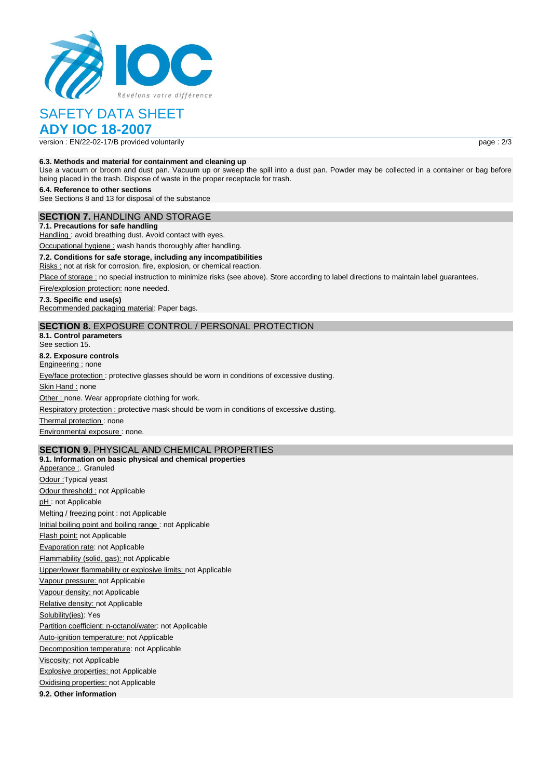

# SAFETY DATA SHEET

**ADY IOC 18-2007**

version : EN/22-02-17/B provided voluntarily page : 2/3

#### **6.3. Methods and material for containment and cleaning up**

Use a vacuum or broom and dust pan. Vacuum up or sweep the spill into a dust pan. Powder may be collected in a container or bag before being placed in the trash. Dispose of waste in the proper receptacle for trash.

**6.4. Reference to other sections**

See Sections 8 and 13 for disposal of the substance

### **SECTION 7.** HANDLING AND STORAGE

**7.1. Precautions for safe handling** Handling: avoid breathing dust. Avoid contact with eyes.

Occupational hygiene : wash hands thoroughly after handling.

**7.2. Conditions for safe storage, including any incompatibilities**

Risks : not at risk for corrosion, fire, explosion, or chemical reaction.

Place of storage : no special instruction to minimize risks (see above). Store according to label directions to maintain label guarantees.

Fire/explosion protection: none needed.

#### **7.3. Specific end use(s)**

Recommended packaging material: Paper bags.

## **SECTION 8.** EXPOSURE CONTROL / PERSONAL PROTECTION

**8.1. Control parameters** See section 15.

**8.2. Exposure controls**

Engineering : none

Eye/face protection : protective glasses should be worn in conditions of excessive dusting.

Skin Hand : none

Other : none. Wear appropriate clothing for work.

Respiratory protection : protective mask should be worn in conditions of excessive dusting.

Thermal protection : none

Environmental exposure : none.

## **SECTION 9.** PHYSICAL AND CHEMICAL PROPERTIES

**9.1. Information on basic physical and chemical properties** Apperance : Granuled Odour : Typical yeast Odour threshold : not Applicable pH : not Applicable Melting / freezing point : not Applicable Initial boiling point and boiling range : not Applicable Flash point: not Applicable Evaporation rate: not Applicable Flammability (solid, gas): not Applicable Upper/lower flammability or explosive limits: not Applicable Vapour pressure: not Applicable Vapour density: not Applicable Relative density: not Applicable Solubility(ies): Yes Partition coefficient: n-octanol/water: not Applicable Auto-ignition temperature: not Applicable Decomposition temperature: not Applicable Viscosity: not Applicable Explosive properties: not Applicable Oxidising properties: not Applicable **9.2. Other information**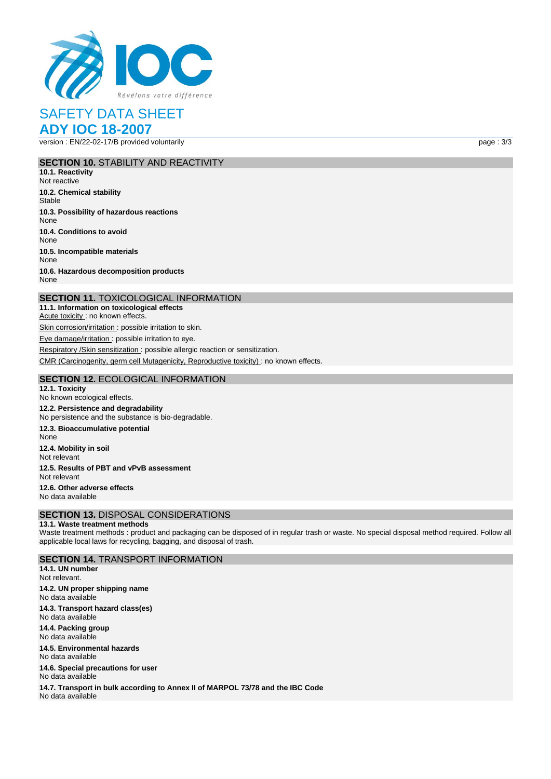

## SAFETY DATA SHEET **ADY IOC 18-2007**

version : EN/22-02-17/B provided voluntarily page : 3/3

#### **SECTION 10.** STABILITY AND REACTIVITY

**10.1. Reactivity** Not reactive **10.2. Chemical stability Stable 10.3. Possibility of hazardous reactions** None **10.4. Conditions to avoid** None **10.5. Incompatible materials** None **10.6. Hazardous decomposition products** None

#### **SECTION 11.** TOXICOLOGICAL INFORMATION

**11.1. Information on toxicological effects** Acute toxicity : no known effects. Skin corrosion/irritation : possible irritation to skin. Eye damage/irritation : possible irritation to eye.

Respiratory /Skin sensitization : possible allergic reaction or sensitization.

CMR (Carcinogenity, germ cell Mutagenicity, Reproductive toxicity) : no known effects.

#### **SECTION 12.** ECOLOGICAL INFORMATION

**12.1. Toxicity** No known ecological effects. **12.2. Persistence and degradability** No persistence and the substance is bio‐degradable. **12.3. Bioaccumulative potential** None **12.4. Mobility in soil** Not relevant **12.5. Results of PBT and vPvB assessment** Not relevant **12.6. Other adverse effects** No data available

## **SECTION 13.** DISPOSAL CONSIDERATIONS

#### **13.1. Waste treatment methods**

Waste treatment methods : product and packaging can be disposed of in regular trash or waste. No special disposal method required. Follow all applicable local laws for recycling, bagging, and disposal of trash.

### **SECTION 14.** TRANSPORT INFORMATION

**14.1. UN number** Not relevant. **14.2. UN proper shipping name** No data available **14.3. Transport hazard class(es)** No data available **14.4. Packing group** No data available

**14.5. Environmental hazards** No data available

**14.6. Special precautions for user** No data available

**14.7. Transport in bulk according to Annex II of MARPOL 73/78 and the IBC Code** No data available